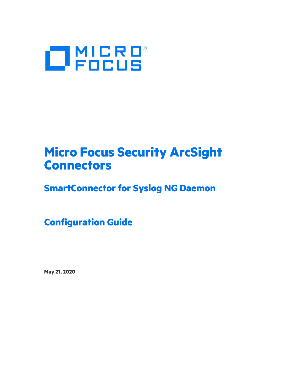

# **Micro Focus Security ArcSight Connectors**

# **SmartConnector for Syslog NG Daemon**

**Configuration Guide**

**May 21, 2020**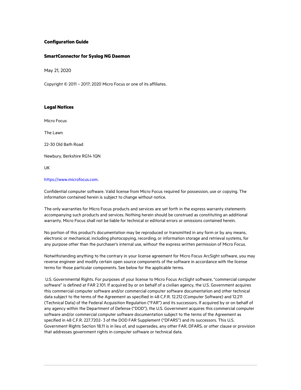#### **Configuration Guide**

#### **SmartConnector for Syslog NG Daemon**

May 21, 2020

Copyright © 2011 – 2017; 2020 Micro Focus or one of its affiliates.

#### **Legal Notices**

Micro Focus

The Lawn

22-30 Old Bath Road

Newbury, Berkshire RG14 1QN

UK

#### [https://www.microfocus.com.](https://www.microfocus.com/)

Confidential computer software. Valid license from Micro Focus required for possession, use or copying. The information contained herein is subject to change without notice.

The only warranties for Micro Focus products and services are set forth in the express warranty statements accompanying such products and services. Nothing herein should be construed as constituting an additional warranty. Micro Focus shall not be liable for technical or editorial errors or omissions contained herein.

No portion of this product's documentation may be reproduced or transmitted in any form or by any means, electronic or mechanical, including photocopying, recording, or information storage and retrieval systems, for any purpose other than the purchaser's internal use, without the express written permission of Micro Focus.

Notwithstanding anything to the contrary in your license agreement for Micro Focus ArcSight software, you may reverse engineer and modify certain open source components of the software in accordance with the license terms for those particular components. See below for the applicable terms.

U.S. Governmental Rights. For purposes of your license to Micro Focus ArcSight software, "commercial computer software" is defined at FAR 2.101. If acquired by or on behalf of a civilian agency, the U.S. Government acquires this commercial computer software and/or commercial computer software documentation and other technical data subject to the terms of the Agreement as specified in 48 C.F.R. 12.212 (Computer Software) and 12.211 (Technical Data) of the Federal Acquisition Regulation ("FAR") and its successors. If acquired by or on behalf of any agency within the Department of Defense ("DOD"), the U.S. Government acquires this commercial computer software and/or commercial computer software documentation subject to the terms of the Agreement as specified in 48 C.F.R. 227.7202- 3 of the DOD FAR Supplement ("DFARS") and its successors. This U.S. Government Rights Section 18.11 is in lieu of, and supersedes, any other FAR, DFARS, or other clause or provision that addresses government rights in computer software or technical data.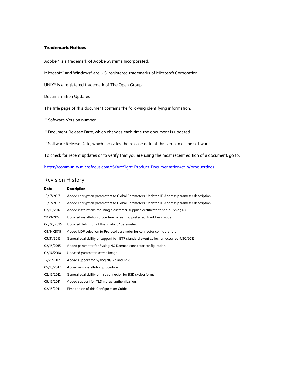#### **Trademark Notices**

Adobe™ is a trademark of Adobe Systems Incorporated.

Microsoft® and Windows® are U.S. registered trademarks of Microsoft Corporation.

UNIX® is a registered trademark of The Open Group.

Documentation Updates

The title page of this document contains the following identifying information:

- \* Software Version number
- \* Document Release Date, which changes each time the document is updated
- \* Software Release Date, which indicates the release date of this version of the software

To check for recent updates or to verify that you are using the most recent edition of a document, go to:

#### <https://community.microfocus.com/t5/ArcSight-Product-Documentation/ct-p/productdocs>

#### Revision History

| <b>Date</b> | <b>Description</b>                                                                          |
|-------------|---------------------------------------------------------------------------------------------|
| 10/17/2017  | Added encryption parameters to Global Parameters. Updated IP Address parameter description. |
| 10/17/2017  | Added encryption parameters to Global Parameters. Updated IP Address parameter description. |
| 02/15/2017  | Added instructions for using a customer-supplied certificate to setup Syslog NG.            |
| 11/30/2016  | Updated installation procedure for setting preferred IP address mode.                       |
| 06/30/2016  | Updated definition of the 'Protocol' parameter.                                             |
| 08/14/2015  | Added UDP selection to Protocol parameter for connector configuration.                      |
| 03/31/2015  | General availability of support for IETF standard event collection occurred 9/30/2013.      |
| 02/16/2015  | Added parameter for Syslog NG Daemon connector configuration.                               |
| 02/14/2014  | Updated parameter screen image.                                                             |
| 12/21/2012  | Added support for Syslog NG 3.3 and IPv6.                                                   |
| 05/15/2012  | Added new installation procedure.                                                           |
| 02/15/2012  | General availability of this connector for BSD syslog format.                               |
| 05/15/2011  | Added support for TLS mutual authentication.                                                |
| 02/15/2011  | First edition of this Configuration Guide.                                                  |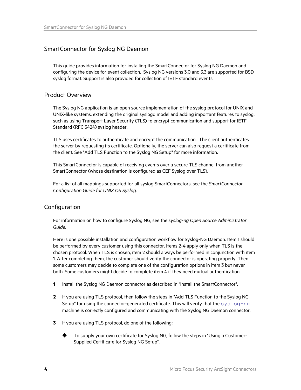# SmartConnector for Syslog NG Daemon

This guide provides information for installing the SmartConnector for Syslog NG Daemon and configuring the device for event collection. Syslog NG versions 3.0 and 3.3 are supported for BSD syslog format. Support is also provided for collection of IETF standard events.

# Product Overview

The Syslog NG application is an open source implementation of the syslog protocol for UNIX and UNIX-like systems, extending the original syslogd model and adding important features to syslog, such as using Transport Layer Security (TLS) to encrypt communication and support for IETF Standard (RFC 5424) syslog header.

TLS uses certificates to authenticate and encrypt the communication. The client authenticates the server by requesting its certificate. Optionally, the server can also request a certificate from the client. See "Add TLS Function to the Syslog NG Setup" for more information.

This SmartConnector is capable of receiving events over a secure TLS channel from another SmartConnector (whose destination is configured as CEF Syslog over TLS).

For a list of all mappings supported for all syslog SmartConnectors, see the *SmartConnector Configuration Guide for UNIX OS Syslog*.

# Configuration

For information on how to configure Syslog NG, see the *syslog-ng Open Source Administrator Guide*.

Here is one possible installation and configuration workflow for Syslog-NG Daemon. Item 1 should be performed by every customer using this connector. Items 2-4 apply only when TLS is the chosen protocol. When TLS is chosen, item 2 should always be performed in conjunction with item 1. After completing them, the customer should verify the connector is operating properly. Then some customers may decide to complete one of the configuration options in item 3 but never both. Some customers might decide to complete item 4 if they need mutual authentication.

- **1** Install the Syslog NG Daemon connector as described in "Install the SmartConnector".
- **2** If you are using TLS protocol, then follow the steps in "Add TLS Function to the Syslog NG Setup" for using the connector-generated certificate. This will verify that the  $syslog-nq$ machine is correctly configured and communicating with the Syslog NG Daemon connector.
- **3** If you are using TLS protocol, do one of the following:
	- To supply your own certificate for Syslog NG, follow the steps in "Using a Customer-Supplied Certificate for Syslog NG Setup".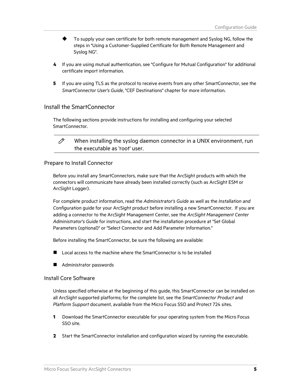- To supply your own certificate for both remote management and Syslog NG, follow the steps in "Using a Customer-Supplied Certificate for Both Remote Management and Syslog NG".
- **4** If you are using mutual authentication, see "Configure for Mutual Configuration" for additional certificate import information.
- **5** If you are using TLS as the protocol to receive events from any other SmartConnector, see the *SmartConnector User's Guide*, "CEF Destinations" chapter for more information.

# Install the SmartConnector

The following sections provide instructions for installing and configuring your selected SmartConnector.



When installing the syslog daemon connector in a UNIX environment, run the executable as 'root' user.

#### Prepare to Install Connector

Before you install any SmartConnectors, make sure that the ArcSight products with which the connectors will communicate have already been installed correctly (such as ArcSight ESM or ArcSight Logger).

For complete product information, read the *Administrator's Guide* as well as the *Installation and Configuration* guide for your ArcSight product before installing a new SmartConnector. If you are adding a connector to the ArcSight Management Center, see the *ArcSight Management Center Administrator's Guide* for instructions, and start the installation procedure at "Set Global Parameters (optional)" or "Select Connector and Add Parameter Information."

Before installing the SmartConnector, be sure the following are available:

- Local access to the machine where the SmartConnector is to be installed
- **Administrator passwords**

#### Install Core Software

Unless specified otherwise at the beginning of this guide, this SmartConnector can be installed on all ArcSight supported platforms; for the complete list, see the *SmartConnector Product and Platform Support* document, available from the Micro Focus SSO and Protect 724 sites.

- **1** Download the SmartConnector executable for your operating system from the Micro Focus SSO site.
- **2** Start the SmartConnector installation and configuration wizard by running the executable.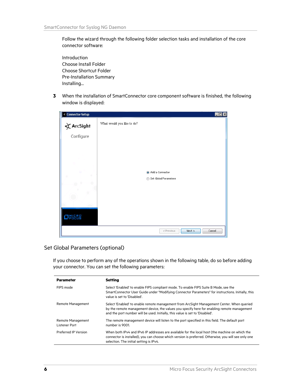Follow the wizard through the following folder selection tasks and installation of the core connector software:

Introduction Choose Install Folder Choose Shortcut Folder Pre-Installation Summary Installing...

**3** When the installation of SmartConnector core component software is finished, the following window is displayed:

| <b>Eonnector Setup</b> | $\blacksquare$ $\blacksquare$ $\times$ |  |
|------------------------|----------------------------------------|--|
| $\bigstar$ ArcSight    | What would you like to do?             |  |
| Configure              |                                        |  |
|                        |                                        |  |
|                        |                                        |  |
|                        |                                        |  |
|                        |                                        |  |
|                        | a Add a Connector                      |  |
|                        | Set Global Parameters<br>⋒             |  |
|                        |                                        |  |
|                        |                                        |  |
|                        |                                        |  |
|                        |                                        |  |
| <b>UCRB</b>            |                                        |  |
|                        | Cancel<br>< Previous<br>Next           |  |
|                        |                                        |  |

# Set Global Parameters (optional)

If you choose to perform any of the operations shown in the following table, do so before adding your connector. You can set the following parameters:

| <b>Parameter</b>                   | <b>Setting</b>                                                                                                                                                                                                                                                             |
|------------------------------------|----------------------------------------------------------------------------------------------------------------------------------------------------------------------------------------------------------------------------------------------------------------------------|
| FIPS mode                          | Select 'Enabled' to enable FIPS compliant mode. To enable FIPS Suite B Mode, see the<br>SmartConnector User Guide under "Modifying Connector Parameters" for instructions. Initially, this<br>value is set to 'Disabled'.                                                  |
| Remote Management                  | Select 'Enabled' to enable remote management from ArcSight Management Center. When gueried<br>by the remote management device, the values you specify here for enabling remote management<br>and the port number will be used. Initially, this value is set to 'Disabled'. |
| Remote Management<br>Listener Port | The remote management device will listen to the port specified in this field. The default port<br>number is 9001.                                                                                                                                                          |
| Preferred IP Version               | When both IPv4 and IPv6 IP addresses are available for the local host (the machine on which the<br>connector is installed), you can choose which version is preferred. Otherwise, you will see only one<br>selection. The initial setting is IPv4.                         |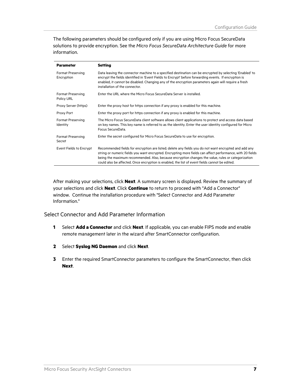The following parameters should be configured only if you are using Micro Focus SecureData solutions to provide encryption. See the *Micro Focus SecureData Architecture Guide* for more information.

| <b>Parameter</b>                | <b>Setting</b>                                                                                                                                                                                                                                                                                                                                                                                                              |
|---------------------------------|-----------------------------------------------------------------------------------------------------------------------------------------------------------------------------------------------------------------------------------------------------------------------------------------------------------------------------------------------------------------------------------------------------------------------------|
| Format Preserving<br>Encryption | Data leaving the connector machine to a specified destination can be encrypted by selecting 'Enabled' to<br>encrypt the fields identified in 'Event Fields to Encrypt' before forwarding events. If encryption is<br>enabled, it cannot be disabled. Changing any of the encryption parameters again will require a fresh<br>installation of the connector.                                                                 |
| Format Preserving<br>Policy URL | Enter the URL where the Micro Focus SecureData Server is installed.                                                                                                                                                                                                                                                                                                                                                         |
| Proxy Server (https)            | Enter the proxy host for https connection if any proxy is enabled for this machine.                                                                                                                                                                                                                                                                                                                                         |
| Proxy Port                      | Enter the proxy port for https connection if any proxy is enabled for this machine.                                                                                                                                                                                                                                                                                                                                         |
| Format Preserving<br>Identity   | The Micro Focus SecureData client software allows client applications to protect and access data based<br>on key names. This key name is referred to as the identity. Enter the user identity configured for Micro<br>Focus SecureData.                                                                                                                                                                                     |
| Format Preserving<br>Secret     | Enter the secret configured for Micro Focus SecureData to use for encryption.                                                                                                                                                                                                                                                                                                                                               |
| Event Fields to Encrypt         | Recommended fields for encryption are listed; delete any fields you do not want encrypted and add any<br>string or numeric fields you want encrypted. Encrypting more fields can affect performance, with 20 fields<br>being the maximum recommended. Also, because encryption changes the value, rules or categorization<br>could also be affected. Once encryption is enabled, the list of event fields cannot be edited. |

After making your selections, click **Next**. A summary screen is displayed. Review the summary of your selections and click **Next**. Click **Continue** to return to proceed with "Add a Connector" window. Continue the installation procedure with "Select Connector and Add Parameter Information."

Select Connector and Add Parameter Information

- **1** Select **Add a Connector** and click **Next**. If applicable, you can enable FIPS mode and enable remote management later in the wizard after SmartConnector configuration.
- **2** Select **Syslog NG Daemon** and click **Next**.
- **3** Enter the required SmartConnector parameters to configure the SmartConnector, then click **Next**.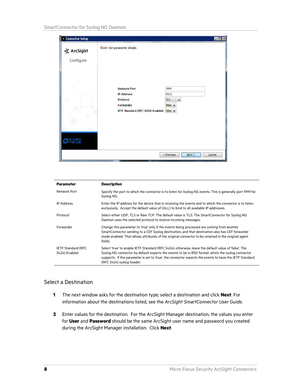| <b>Connector Setup</b>         |                                                                                                              | $\Box$ o                                                                                           |
|--------------------------------|--------------------------------------------------------------------------------------------------------------|----------------------------------------------------------------------------------------------------|
| $\angle$ ArcSight<br>Configure | Enter the parameter details                                                                                  |                                                                                                    |
| <b>D</b> MICRO                 | <b>Network Port</b><br><b>IP Address</b><br><b>Protocol</b><br>Forwarder<br>IETF Standard (RFC 5424) Enabled | 1999<br>(ALL)<br>$\mathsf{ILS}$<br>$\overline{\phantom{a}}$<br>false $\rightarrow$<br>false $\sim$ |
|                                |                                                                                                              | <br>$<$ Previous<br>Next ><br>Cancel                                                               |

| <b>Parameter</b>                            | <b>Description</b>                                                                                                                                                                                                                                                                                                                                |
|---------------------------------------------|---------------------------------------------------------------------------------------------------------------------------------------------------------------------------------------------------------------------------------------------------------------------------------------------------------------------------------------------------|
| Network Port                                | Specify the port to which the connector is to listen for Syslog NG events. This is generally port 1999 for<br>Syslog NG.                                                                                                                                                                                                                          |
| <b>IP Address</b>                           | Enter the IP address for the device that is receiving the events and to which the connector is to listen<br>exclusively. Accept the default value of (ALL) to bind to all available IP addresses.                                                                                                                                                 |
| Protocol                                    | Select either UDP, TLS or Raw TCP. The default value is TLS. The SmartConnector for Syslog NG<br>Daemon uses the selected protocol to receive incoming messages.                                                                                                                                                                                  |
| Forwarder                                   | Change this parameter to 'true' only if the events being processed are coming from another<br>SmartConnector sending to a CEF Syslog destination, and that destination also has CEF forwarder<br>mode enabled. That allows attributes of the original connector to be retained in the original agent<br>fields.                                   |
| <b>IETF Standard (RFC)</b><br>5424) Enabled | Select 'true' to enable IETF Standard (RFC 5424); otherwise, leave the default value of 'false'. The<br>Syslog NG connector by default expects the events to be in BSD format, which the syslog connector<br>supports. If the parameter is set to 'true', the connector expects the events to have the IETF Standard<br>(RFC 5424) syslog header. |

# Select a Destination

- **1** The next window asks for the destination type; select a destination and click **Next**. For information about the destinations listed, see the *ArcSight SmartConnector User Guide*.
- **2** Enter values for the destination. For the ArcSight Manager destination, the values you enter for **User** and **Password** should be the same ArcSight user name and password you created during the ArcSight Manager installation. Click **Next**.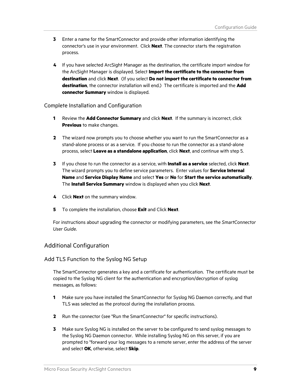- **3** Enter a name for the SmartConnector and provide other information identifying the connector's use in your environment. Click **Next**. The connector starts the registration process.
- **4** If you have selected ArcSight Manager as the destination, the certificate import window for the ArcSight Manager is displayed. Select **Import the certificate to the connector from destination** and click **Next**. (If you select **Do not import the certificate to connector from destination**, the connector installation will end.) The certificate is imported and the **Add connector Summary** window is displayed.

## Complete Installation and Configuration

- **1** Review the **Add Connector Summary** and click **Next**. If the summary is incorrect, click **Previous** to make changes.
- **2** The wizard now prompts you to choose whether you want to run the SmartConnector as a stand-alone process or as a service. If you choose to run the connector as a stand-alone process, select **Leave as a standalone application**, click **Next**, and continue with step 5.
- **3** If you chose to run the connector as a service, with **Install as a service** selected, click **Next**. The wizard prompts you to define service parameters. Enter values for **Service Internal Name** and **Service Display Name** and select **Yes** or **No** for **Start the service automatically**. The **Install Service Summary** window is displayed when you click **Next**.
- **4** Click **Next** on the summary window.
- **5** To complete the installation, choose **Exit** and Click **Next**.

For instructions about upgrading the connector or modifying parameters, see the *SmartConnector User Guide*.

# Additional Configuration

#### Add TLS Function to the Syslog NG Setup

The SmartConnector generates a key and a certificate for authentication. The certificate must be copied to the Syslog NG client for the authentication and encryption/decryption of syslog messages, as follows:

- **1** Make sure you have installed the SmartConnector for Syslog NG Daemon correctly, and that TLS was selected as the protocol during the installation process.
- **2** Run the connector (see "Run the SmartConnector" for specific instructions).
- **3** Make sure Syslog NG is installed on the server to be configured to send syslog messages to the Syslog NG Daemon connector. While installing Syslog NG on this server, if you are prompted to "forward your log messages to a remote server, enter the address of the server and select **OK**, otherwise, select **Skip**.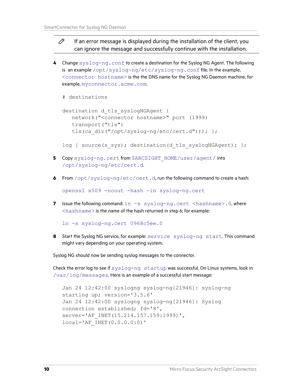#### P If an error message is displayed during the installation of the client, you can ignore the message and successfully continue with the installation.

**4** Change syslog-ng.conf to create a destination for the Syslog NG Agent. The following is an example /opt/syslog-ng/etc/syslog-ng.conf file. In the example, <connector hostname> is the the DNS name for the Syslog NG Daemon machine, for example, myconnector.acme.com.

```
# destinations
```

```
destination d tls syslogNGAgent {
    network("<connector hostname>" port (1999) 
    transport("tls") 
   tls(ca dir("/opt/syslog-ng/etc/cert.d"))); };
```
log { source(s sys); destination(d tls syslogNGAgent); };

- **5** Copy syslog-ng.cert from \$ARCSIGHT\_HOME/user/agent/ into /opt/syslog-ng/etc/cert.d.
- **6** From /opt/syslog-ng/etc/cert.d, run the following command to create a hash:

openssl x509 -noout -hash -in syslog-ng.cert

**7** Issue the following command:  $\ln -s$  syslog-ng.cert <hashname>.0, where  $\langle$ hashname $\rangle$  is the name of the hash returned in step 6; for example:

ln -s syslog-ng.cert 0968c5ee.0

**8** Start the Syslog NG service, for example: service syslog-ng start. This command might vary depending on your operating system.

Syslog NG should now be sending syslog messages to the connector.

Check the error log to see if syslog-ng startup was successful. On Linux systems, look in /var/log/messages. Here is an example of a successful start message:

```
Jan 24 12:42:00 syslogng syslog-ng[21946]: syslog-ng 
starting up; version='3.5.6' 
Jan 24 12:42:00 syslogng syslog-ng[21946]: Syslog 
connection established; fd='8', 
server='AF_INET(15.214.157.159:1999)',
local='AF_INET(0.0.0.0:0)'
```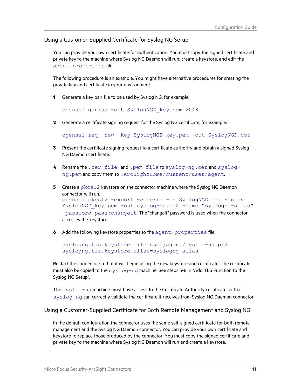## Using a Customer-Supplied Certificate for Syslog NG Setup

You can provide your own certificate for authentication. You must copy the signed certificate and private key to the machine where Syslog NG Daemon will run, create a keystore, and edit the agent.properties file.

The following procedure is an example. You might have alternative procedures for creating the private key and certificate in your environment.

**1** Generate a key pair file to be used by Syslog NG, for example:

openssl genrsa -out SyslogNGD\_key.pem 2048

**2** Generate a certificate signing request for the Syslog NG certificate, for example:

openssl req -new -key SyslogNGD\_key.pem -out SyslogNGD.csr

- **3** Present the certificate signing request to a certificate authority and obtain a signed Syslog NG Daemon certificate.
- **4** Rename the .cer file and .pem file to syslog-ng.cer and syslogng.pem and copy them to \$ArcSightHome/current/user/agent.
- **5** Create a pkcs12 keystore on the connector machine where the Syslog NG Daemon connector will run. openssl pkcs12 -export -clcerts -in SyslogNGD.crt -inkey SyslogNGD\_key.pem -out syslog-ng.p12 -name "syslogng-alias" -password pass:changeit. The "changeit" password is used when the connector accesses the keystore.
- **6** Add the following keystore properties to the agent.properties file:

```
syslogng.tls.keystore.file=user/agent/syslog-ng.p12
syslogng.tls.keystore.alias=syslogng-alias
```
Restart the connector so that it will begin using the new keystore and certificate. The certificate must also be copied to the  $sysloq-nq$  machine. See steps 5-8 in "Add TLS Function to the Syslog NG Setup".

The syslog-ng machine must have access to the Certificate Authority certificate so that syslog-ng can correctly validate the certificate it receives from Syslog NG Daemon connector.

Using a Customer-Supplied Certificate for Both Remote Management and Syslog NG

In the default configuration the connector uses the same self-signed certificate for both remote management and the Syslog NG Daemon connector. You can provide your own certificate and keystore to replace those produced by the connector. You must copy the signed certificate and private key to the machine where Syslog NG Daemon will run and create a keystore.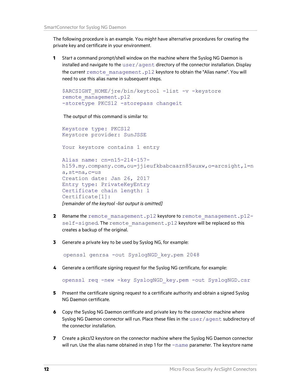The following procedure is an example. You might have alternative procedures for creating the private key and certificate in your environment.

**1** Start a command prompt/shell window on the machine where the Syslog NG Daemon is installed and navigate to the  $user/agent$  directory of the connector installation. Display the current remote management.p12 keystore to obtain the "Alias name". You will need to use this alias name in subsequent steps.

```
$ARCSIGHT_HOME/jre/bin/keytool -list -v -keystore
remote_management.p12 
-storetype PKCS12 -storepass changeit
```
The output of this command is similar to:

```
Keystore type: PKCS12 
Keystore provider: SunJSSE 
Your keystore contains 1 entry
Alias name: cn=n15-214-157-
h159.my.company.com, ou=jjieufkbabcaarn85auxw, o=arcsight, l=n
a,st=na,c=us 
Creation date: Jan 26, 2017 
Entry type: PrivateKeyEntry 
Certificate chain length: 1 
Certificate[1]:
[remainder of the keytool -list output is omitted]
```
- **2** Rename the remote management.p12 keystore to remote management.p12self-signed. The remote management.p12 keystore will be replaced so this creates a backup of the original.
- **3** Generate a private key to be used by Syslog NG, for example:

openssl genrsa -out SyslogNGD\_key.pem 2048

**4** Generate a certificate signing request for the Syslog NG certificate, for example:

openssl req -new -key SyslogNGD\_key.pem -out SyslogNGD.csr

- **5** Present the certificate signing request to a certificate authority and obtain a signed Syslog NG Daemon certificate.
- **6** Copy the Syslog NG Daemon certificate and private key to the connector machine where Syslog NG Daemon connector will run. Place these files in the  $user/agent$  subdirectory of the connector installation.
- **7** Create a pkcs12 keystore on the connector machine where the Syslog NG Daemon connector will run. Use the alias name obtained in step 1 for the  $-\text{name}$  parameter. The keystore name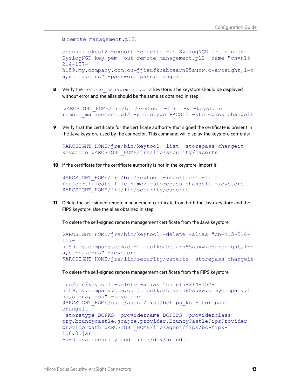```
is remote management.p12.
```

```
openssl pkcs12 -export -clcerts -in SyslogNGD.crt -inkey 
SyslogNGD_key.pem -out remote_management.p12 -name "cn=n15-
214 - 157 -h159.my.company.com,ou=jjieufkbabcaarn85auxw,o=arcsight,l=n
a,st=na,c=us" -password pass:changeit
```
**8** Verify the remote management.p12 keystore. The keystore should be displayed without error and the alias should be the same as obtained in step 1.

```
$ARCSIGHT_HOME/jre/bin/keytool -list -v -keystore 
remote management.p12 -storetype PKCS12 -storepass changeit
```
**9** Verify that the certificate for the certificate authority that signed the certificate is present in the Java keystore used by the connector. This command will display the keystore contents:

```
$ARCSIGHT_HOME/jre/bin/keytool -list -storepass changeit -
keystore $ARCSIGHT_HOME/jre/lib/security/cacerts
```
**10** If the certificate for the certificate authority is not in the keystore, import it:

```
$ARCSIGHT_HOME/jre/bin/keytool -importcert -file
<ca certificate file name> -storepass changeit -keystore
$ARCSIGHT_HOME/jre/lib/security/cacerts
```
**11** Delete the self-signed remote management certificate from both the Java keystore and the FIPS keystore. Use the alias obtained in step 1.

To delete the self-signed remote management certificate from the Java keystore:

```
$ARCSIGHT_HOME/jre/bin/keytool -delete -alias "cn=n15-214-
157-
h159.my.company.com, ou=jjieufkbabcaarn85auxw, o=arcsight, l=n
a,st=na,c=us" -keystore 
$ARCSIGHT_HOME/jre/lib/security/cacerts -storepass changeit
```
To delete the self-signed remote management certificate from the FIPS keystore:

```
jre/bin/keytool -delete -alias "cn=n15-214-157-
h159.my.company.com,ou=jjieufkbabcaarn85auxw,o=myCompany,l=
na,st=na,c=us" -keystore 
$ARCSIGHT_HOME/user/agent/fips/bcfips_ks -storepass
changeit 
-storetype BCFKS -providername BCFIPS -providerclass 
org.bouncycastle.jcajce.provider.BouncyCastleFipsProvider -
providerpath $ARCSIGHT_HOME/lib/agent/fips/bc-fips-
1.0.0.jar 
-J-Djava.security.egd=file:/dev/urandom
```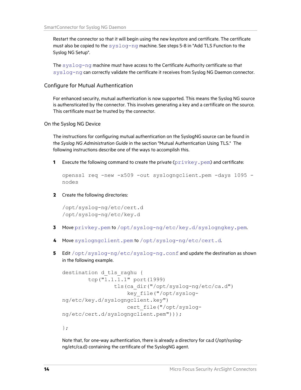Restart the connector so that it will begin using the new keystore and certificate. The certificate must also be copied to the  $syslog-nq$  machine. See steps 5-8 in "Add TLS Function to the Syslog NG Setup".

The syslog-ng machine must have access to the Certificate Authority certificate so that syslog-ng can correctly validate the certificate it receives from Syslog NG Daemon connector.

#### Configure for Mutual Authentication

For enhanced security, mutual authentication is now supported. This means the Syslog NG source is authensticated by the connector. This involves generating a key and a certificate on the source. This certificate must be trusted by the connector.

On the Syslog NG Device

The instructions for configuring mutual authentication on the SyslogNG source can be found in the *Syslog NG Administration Guide* in the section "Mutual Authentication Using TLS." The following instructions describe one of the ways to accomplish this.

**1** Execute the following command to create the private ( $\text{privkey.}$ ,  $\text{pen}$ ) and certificate:

```
openssl req -new -x509 -out syslogngclient.pem -days 1095 -
nodes
```
**2** Create the following directories:

```
/opt/syslog-ng/etc/cert.d 
/opt/syslog-ng/etc/key.d
```
- **3** Move privkey.pem to /opt/syslog-ng/etc/key.d/syslogngkey.pem.
- **4** Move syslogngclient.pem to /opt/syslog-ng/etc/cert.d.
- **5** Edit /opt/syslog-ng/etc/syslog-ng.conf and update the destination as shown in the following example.

```
destination d tls raghu {
         tcp("1.1.1.1" port(1999) 
                  tls(ca_dir("/opt/syslog-ng/etc/ca.d") 
                      key_file("/opt/syslog-
ng/etc/key.d/syslogngclient.key") 
                      cert_file("/opt/syslog-
ng/etc/cert.d/syslogngclient.pem")));
```
};

Note that, for one-way authentication, there is already a directory for ca.d (/opt/syslogng/etc/ca.d) containing the certificate of the SyslogNG agent.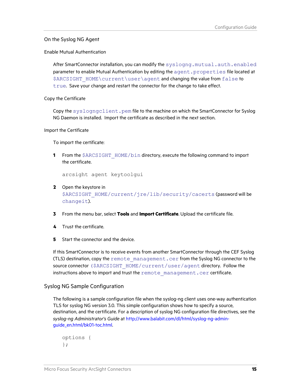# On the Syslog NG Agent

Enable Mutual Authentication

After SmartConnector installation, you can modify the syslogng.mutual.auth.enabled parameter to enable Mutual Authentication by editing the agent.properties file located at \$ARCSIGHT\_HOME\current\user\agent and changing the value from false to true. Save your change and restart the connector for the change to take effect.

Copy the Certificate

Copy the syslogngclient.pem file to the machine on which the SmartConnector for Syslog NG Daemon is installed. Import the certificate as described in the next section.

Import the Certificate

To import the certificate:

**1** From the \$ARCSIGHT\_HOME/bin directory, execute the following command to import the certificate.

arcsight agent keytoolgui

- **2** Open the keystore in \$ARCSIGHT\_HOME/current/jre/lib/security/cacerts (password will be changeit).
- **3** From the menu bar, select **Tools** and **Import Certificate**. Upload the certificate file.
- **4** Trust the certificate.
- **5** Start the connector and the device.

If this SmartConnector is to receive events from another SmartConnector through the CEF Syslog (TLS) destination, copy the  $r$ emote management.cer from the Syslog NG connector to the source connector (\$ARCSIGHT\_HOME/current/user/agent directory. Follow the instructions above to import and trust the remote management.cer certificate.

# Syslog NG Sample Configuration

The following is a sample configuration file when the syslog-ng client uses one-way authentication TLS for syslog NG version 3.0. This simple configuration shows how to specify a source, destination, and the certificate. For a description of syslog NG configuration file directives, see the *syslog-ng Administrator's Guide* at [http://www.balabit.com/dl/html/syslog-ng-admin](http://www.balabit.com/dl/html/syslog-ng-admin-guide_en.html/bk01-toc.html)[guide\\_en.html/bk01-toc.html.](http://www.balabit.com/dl/html/syslog-ng-admin-guide_en.html/bk01-toc.html)

```
options { 
};
```